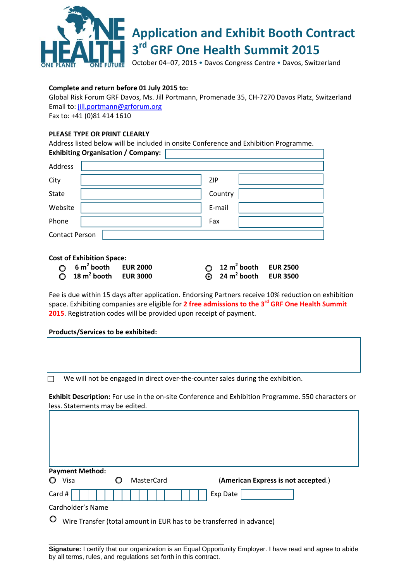

# **Application and Exhibit Booth Contract 3rd GRF One Health Summit 2015**

October 04–07, 2015 • Davos Congress Centre • Davos, Switzerland

## **Complete and return before 01 July 2015 to:**

Global Risk Forum GRF Davos, Ms. Jill Portmann, Promenade 35, CH‐7270 Davos Platz, Switzerland Email to: jill.portmann@grforum.org

Fax to: +41 (0)81 414 1610

## **PLEASE TYPE OR PRINT CLEARLY**

Address listed below will be included in onsite Conference and Exhibition Programme. **Exhibiting Organisation / Company:**

| Address                                                                                                                                                                              |            |  |  |  |
|--------------------------------------------------------------------------------------------------------------------------------------------------------------------------------------|------------|--|--|--|
| City                                                                                                                                                                                 | <b>ZIP</b> |  |  |  |
| <b>State</b>                                                                                                                                                                         | Country    |  |  |  |
| Website                                                                                                                                                                              | E-mail     |  |  |  |
| Phone                                                                                                                                                                                | Fax        |  |  |  |
| <b>Contact Person</b>                                                                                                                                                                |            |  |  |  |
| <b>Cost of Exhibition Space:</b><br>$6 m2$ booth<br>12 $m^2$ booth<br><b>EUR 2500</b><br><b>EUR 2000</b><br>24 $m2$ booth<br>$18 \text{ m}^2$ booth EUR 3000<br><b>EUR 3500</b><br>⊙ |            |  |  |  |

Fee is due within 15 days after application. Endorsing Partners receive 10% reduction on exhibition space. Exhibiting companies are eligible for **2 free admissions to the 3rd GRF One Health Summit 2015**. Registration codes will be provided upon receipt of payment.

### **Products/Services to be exhibited:**

| We will not be engaged in direct over-the-counter sales during the exhibition. |
|--------------------------------------------------------------------------------|
|                                                                                |

**Exhibit Description:** For use in the on‐site Conference and Exhibition Programme. 550 characters or less. Statements may be edited.

| <b>Payment Method:</b> |  |            |                                     |  |  |  |
|------------------------|--|------------|-------------------------------------|--|--|--|
| Visa                   |  | MasterCard | (American Express is not accepted.) |  |  |  |
| Card #                 |  |            | Exp Date                            |  |  |  |
| Cardholder's Name      |  |            |                                     |  |  |  |

Wire Transfer (total amount in EUR has to be transferred in advance)

**\_\_\_\_\_\_\_\_\_\_\_\_\_\_\_\_\_\_\_\_\_\_\_\_\_\_\_\_\_\_\_\_\_\_\_\_\_\_\_\_\_\_\_\_\_\_\_\_** 

**Signature:** I certify that our organization is an Equal Opportunity Employer. I have read and agree to abide by all terms, rules, and regulations set forth in this contract.